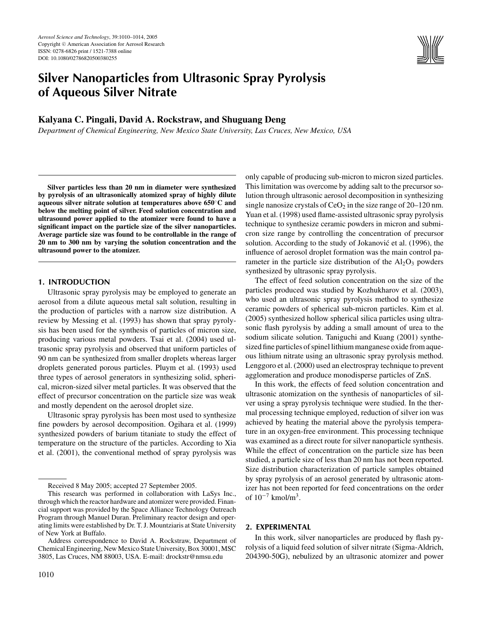

# **Silver Nanoparticles from Ultrasonic Spray Pyrolysis of Aqueous Silver Nitrate**

## **Kalyana C. Pingali, David A. Rockstraw, and Shuguang Deng**

*Department of Chemical Engineering, New Mexico State University, Las Cruces, New Mexico, USA*

**Silver particles less than 20 nm in diameter were synthesized by pyrolysis of an ultrasonically atomized spray of highly dilute aqueous silver nitrate solution at temperatures above 650**◦**C and below the melting point of silver. Feed solution concentration and ultrasound power applied to the atomizer were found to have a significant impact on the particle size of the silver nanoparticles. Average particle size was found to be controllable in the range of 20 nm to 300 nm by varying the solution concentration and the ultrasound power to the atomizer.**

### **1. INTRODUCTION**

Ultrasonic spray pyrolysis may be employed to generate an aerosol from a dilute aqueous metal salt solution, resulting in the production of particles with a narrow size distribution. A review by Messing et al. (1993) has shown that spray pyrolysis has been used for the synthesis of particles of micron size, producing various metal powders. Tsai et al. (2004) used ultrasonic spray pyrolysis and observed that uniform particles of 90 nm can be synthesized from smaller droplets whereas larger droplets generated porous particles. Pluym et al. (1993) used three types of aerosol generators in synthesizing solid, spherical, micron-sized silver metal particles. It was observed that the effect of precursor concentration on the particle size was weak and mostly dependent on the aerosol droplet size.

Ultrasonic spray pyrolysis has been most used to synthesize fine powders by aerosol decomposition. Ogihara et al. (1999) synthesized powders of barium titaniate to study the effect of temperature on the structure of the particles. According to Xia et al. (2001), the conventional method of spray pyrolysis was only capable of producing sub-micron to micron sized particles. This limitation was overcome by adding salt to the precursor solution through ultrasonic aerosol decomposition in synthesizing single nanosize crystals of  $CeO<sub>2</sub>$  in the size range of 20–120 nm. Yuan et al. (1998) used flame-assisted ultrasonic spray pyrolysis technique to synthesize ceramic powders in micron and submicron size range by controlling the concentration of precursor solution. According to the study of Jokanović et al. (1996), the influence of aerosol droplet formation was the main control parameter in the particle size distribution of the  $Al_2O_3$  powders synthesized by ultrasonic spray pyrolysis.

The effect of feed solution concentration on the size of the particles produced was studied by Kozhukharov et al. (2003), who used an ultrasonic spray pyrolysis method to synthesize ceramic powders of spherical sub-micron particles. Kim et al. (2005) synthesized hollow spherical silica particles using ultrasonic flash pyrolysis by adding a small amount of urea to the sodium silicate solution. Taniguchi and Kuang (2001) synthesized fine particles of spinel lithium manganese oxide from aqueous lithium nitrate using an ultrasonic spray pyrolysis method. Lenggoro et al. (2000) used an electrospray technique to prevent agglomeration and produce monodisperse particles of ZnS.

In this work, the effects of feed solution concentration and ultrasonic atomization on the synthesis of nanoparticles of silver using a spray pyrolysis technique were studied. In the thermal processing technique employed, reduction of silver ion was achieved by heating the material above the pyrolysis temperature in an oxygen-free environment. This processing technique was examined as a direct route for silver nanoparticle synthesis. While the effect of concentration on the particle size has been studied, a particle size of less than 20 nm has not been reported. Size distribution characterization of particle samples obtained by spray pyrolysis of an aerosol generated by ultrasonic atomizer has not been reported for feed concentrations on the order of  $10^{-7}$  kmol/m<sup>3</sup>.

## **2. EXPERIMENTAL**

In this work, silver nanoparticles are produced by flash pyrolysis of a liquid feed solution of silver nitrate (Sigma-Aldrich, 204390-50G), nebulized by an ultrasonic atomizer and power

Received 8 May 2005; accepted 27 September 2005.

This research was performed in collaboration with LaSys Inc., through which the reactor hardware and atomizer were provided. Financial support was provided by the Space Alliance Technology Outreach Program through Manuel Duran. Preliminary reactor design and operating limits were established by Dr. T. J. Mountziaris at State University of New York at Buffalo.

Address correspondence to David A. Rockstraw, Department of Chemical Engineering, New Mexico State University, Box 30001, MSC 3805, Las Cruces, NM 88003, USA. E-mail: drockstr@nmsu.edu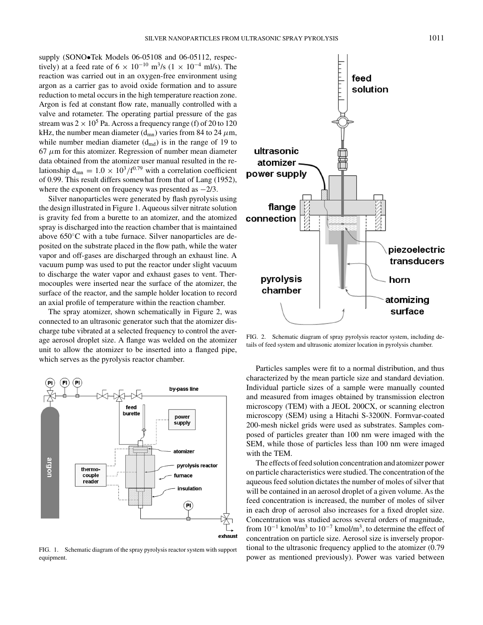supply (SONO•Tek Models 06-05108 and 06-05112, respectively) at a feed rate of 6  $\times$  10<sup>-10</sup> m<sup>3</sup>/s (1  $\times$  10<sup>-4</sup> ml/s). The reaction was carried out in an oxygen-free environment using argon as a carrier gas to avoid oxide formation and to assure reduction to metal occurs in the high temperature reaction zone. Argon is fed at constant flow rate, manually controlled with a valve and rotameter. The operating partial pressure of the gas stream was  $2 \times 10^5$  Pa. Across a frequency range (f) of 20 to 120 kHz, the number mean diameter (d<sub>mn</sub>) varies from 84 to 24  $\mu$ m, while number median diameter  $(d_{\text{md}})$  is in the range of 19 to  $67 \mu m$  for this atomizer. Regression of number mean diameter data obtained from the atomizer user manual resulted in the relationship  $d_{mn} = 1.0 \times 10^3/f^{0.79}$  with a correlation coefficient of 0.99. This result differs somewhat from that of Lang (1952), where the exponent on frequency was presented as  $-2/3$ .

Silver nanoparticles were generated by flash pyrolysis using the design illustrated in Figure 1. Aqueous silver nitrate solution is gravity fed from a burette to an atomizer, and the atomized spray is discharged into the reaction chamber that is maintained above 650◦C with a tube furnace. Silver nanoparticles are deposited on the substrate placed in the flow path, while the water vapor and off-gases are discharged through an exhaust line. A vacuum pump was used to put the reactor under slight vacuum to discharge the water vapor and exhaust gases to vent. Thermocouples were inserted near the surface of the atomizer, the surface of the reactor, and the sample holder location to record an axial profile of temperature within the reaction chamber.

The spray atomizer, shown schematically in Figure 2, was connected to an ultrasonic generator such that the atomizer discharge tube vibrated at a selected frequency to control the average aerosol droplet size. A flange was welded on the atomizer unit to allow the atomizer to be inserted into a flanged pipe, which serves as the pyrolysis reactor chamber.



FIG. 1. Schematic diagram of the spray pyrolysis reactor system with support equipment.



FIG. 2. Schematic diagram of spray pyrolysis reactor system, including details of feed system and ultrasonic atomizer location in pyrolysis chamber.

Particles samples were fit to a normal distribution, and thus characterized by the mean particle size and standard deviation. Individual particle sizes of a sample were manually counted and measured from images obtained by transmission electron microscopy (TEM) with a JEOL 200CX, or scanning electron microscopy (SEM) using a Hitachi S-3200N. Formvar-coated 200-mesh nickel grids were used as substrates. Samples composed of particles greater than 100 nm were imaged with the SEM, while those of particles less than 100 nm were imaged with the TEM.

The effects of feed solution concentration and atomizer power on particle characteristics were studied. The concentration of the aqueous feed solution dictates the number of moles of silver that will be contained in an aerosol droplet of a given volume. As the feed concentration is increased, the number of moles of silver in each drop of aerosol also increases for a fixed droplet size. Concentration was studied across several orders of magnitude, from  $10^{-1}$  kmol/m<sup>3</sup> to  $10^{-7}$  kmol/m<sup>3</sup>, to determine the effect of concentration on particle size. Aerosol size is inversely proportional to the ultrasonic frequency applied to the atomizer (0.79 power as mentioned previously). Power was varied between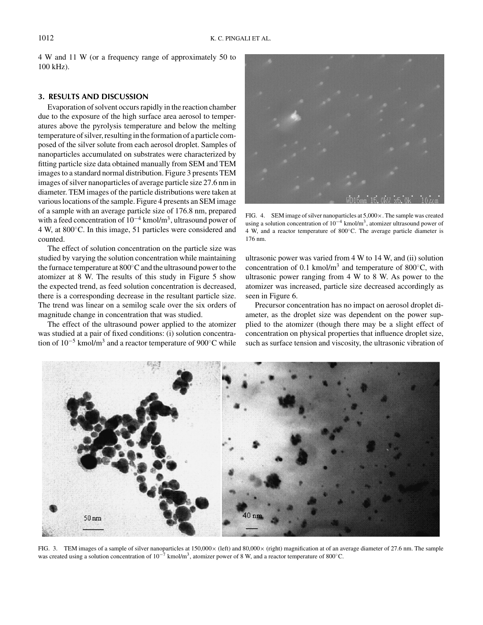4 W and 11 W (or a frequency range of approximately 50 to 100 kHz).

#### **3. RESULTS AND DISCUSSION**

Evaporation of solvent occurs rapidly in the reaction chamber due to the exposure of the high surface area aerosol to temperatures above the pyrolysis temperature and below the melting temperature of silver, resulting in the formation of a particle composed of the silver solute from each aerosol droplet. Samples of nanoparticles accumulated on substrates were characterized by fitting particle size data obtained manually from SEM and TEM images to a standard normal distribution. Figure 3 presents TEM images of silver nanoparticles of average particle size 27.6 nm in diameter. TEM images of the particle distributions were taken at various locations of the sample. Figure 4 presents an SEM image of a sample with an average particle size of 176.8 nm, prepared with a feed concentration of  $10^{-4}$  kmol/m<sup>3</sup>, ultrasound power of 4 W, at 800◦C. In this image, 51 particles were considered and counted.

The effect of solution concentration on the particle size was studied by varying the solution concentration while maintaining the furnace temperature at 800◦Cand the ultrasound power to the atomizer at 8 W. The results of this study in Figure 5 show the expected trend, as feed solution concentration is decreased, there is a corresponding decrease in the resultant particle size. The trend was linear on a semilog scale over the six orders of magnitude change in concentration that was studied.

The effect of the ultrasound power applied to the atomizer was studied at a pair of fixed conditions: (i) solution concentration of  $10^{-5}$  kmol/m<sup>3</sup> and a reactor temperature of 900 $^{\circ}$ C while



FIG. 4. SEM image of silver nanoparticles at  $5,000 \times$ . The sample was created using a solution concentration of  $10^{-4}$  kmol/m<sup>3</sup>, atomizer ultrasound power of 4 W, and a reactor temperature of 800◦C. The average particle diameter is 176 nm.

ultrasonic power was varied from 4 W to 14 W, and (ii) solution concentration of 0.1 kmol/m<sup>3</sup> and temperature of 800 $^{\circ}$ C, with ultrasonic power ranging from 4 W to 8 W. As power to the atomizer was increased, particle size decreased accordingly as seen in Figure 6.

Precursor concentration has no impact on aerosol droplet diameter, as the droplet size was dependent on the power supplied to the atomizer (though there may be a slight effect of concentration on physical properties that influence droplet size, such as surface tension and viscosity, the ultrasonic vibration of



FIG. 3. TEM images of a sample of silver nanoparticles at 150,000 × (left) and 80,000 × (right) magnification at of an average diameter of 27.6 nm. The sample was created using a solution concentration of  $10^{-7}$  kmol/m<sup>3</sup>, atomizer power of 8 W, and a reactor temperature of 800°C.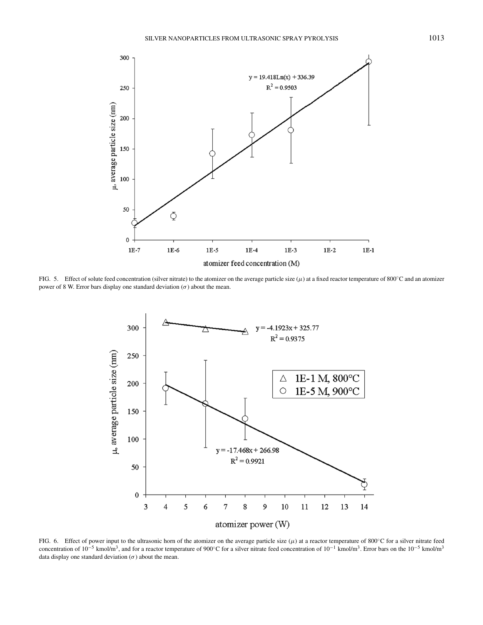

FIG. 5. Effect of solute feed concentration (silver nitrate) to the atomizer on the average particle size  $(\mu)$  at a fixed reactor temperature of 800°C and an atomizer power of 8 W. Error bars display one standard deviation  $(\sigma)$  about the mean.



FIG. 6. Effect of power input to the ultrasonic horn of the atomizer on the average particle size  $(\mu)$  at a reactor temperature of 800°C for a silver nitrate feed concentration of 10<sup>-5</sup> kmol/m<sup>3</sup>, and for a reactor temperature of 900°C for a silver nitrate feed concentration of 10<sup>-1</sup> kmol/m<sup>3</sup>. Error bars on the 10<sup>-5</sup> kmol/m<sup>3</sup> data display one standard deviation  $(\sigma)$  about the mean.